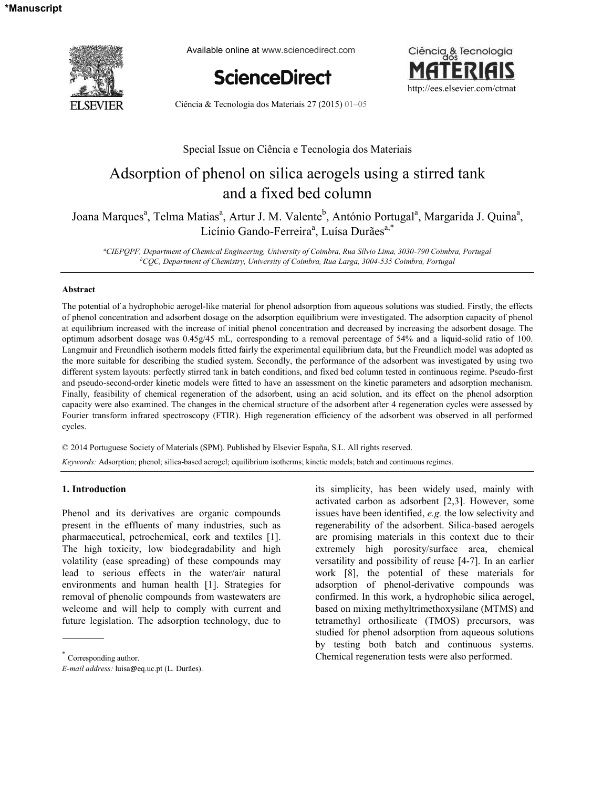

Available online at www.sciencedirect.com





Ciência & Tecnologia dos Materiais 27 (2015) 01–05

# Special Issue on Ciência e Tecnologia dos Materiais

# Adsorption of phenol on silica aerogels using a stirred tank and a fixed bed column

Joana Marques<sup>a</sup>, Telma Matias<sup>a</sup>, Artur J. M. Valente<sup>b</sup>, António Portugal<sup>a</sup>, Margarida J. Quina<sup>a</sup>, Licínio Gando-Ferreira<sup>a</sup>, Luísa Durães<sup>a,\*</sup>

*<sup>a</sup>CIEPQPF, Department of Chemical Engineering, University of Coimbra, Rua Sílvio Lima, 3030-790 Coimbra, Portugal <sup>b</sup>CQC, Department of Chemistry, University of Coimbra, Rua Larga, 3004-535 Coimbra, Portugal* 

## **Abstract**

The potential of a hydrophobic aerogel-like material for phenol adsorption from aqueous solutions was studied. Firstly, the effects of phenol concentration and adsorbent dosage on the adsorption equilibrium were investigated. The adsorption capacity of phenol at equilibrium increased with the increase of initial phenol concentration and decreased by increasing the adsorbent dosage. The optimum adsorbent dosage was 0.45g/45 mL, corresponding to a removal percentage of 54% and a liquid-solid ratio of 100. Langmuir and Freundlich isotherm models fitted fairly the experimental equilibrium data, but the Freundlich model was adopted as the more suitable for describing the studied system. Secondly, the performance of the adsorbent was investigated by using two different system layouts: perfectly stirred tank in batch conditions, and fixed bed column tested in continuous regime. Pseudo-first and pseudo-second-order kinetic models were fitted to have an assessment on the kinetic parameters and adsorption mechanism. Finally, feasibility of chemical regeneration of the adsorbent, using an acid solution, and its effect on the phenol adsorption capacity were also examined. The changes in the chemical structure of the adsorbent after 4 regeneration cycles were assessed by Fourier transform infrared spectroscopy (FTIR). High regeneration efficiency of the adsorbent was observed in all performed cycles.

© 2014 Portuguese Society of Materials (SPM). Published by Elsevier España, S.L. All rights reserved. *Keywords:* Adsorption; phenol; silica-based aerogel; equilibrium isotherms; kinetic models; batch and continuous regimes.

## **1. Introduction\***

Phenol and its derivatives are organic compounds present in the effluents of many industries, such as pharmaceutical, petrochemical, cork and textiles [1]. The high toxicity, low biodegradability and high volatility (ease spreading) of these compounds may lead to serious effects in the water/air natural environments and human health [1]. Strategies for removal of phenolic compounds from wastewaters are welcome and will help to comply with current and future legislation. The adsorption technology, due to

*E-mail address:* luisa@eq.uc.pt (L. Durães).

its simplicity, has been widely used, mainly with activated carbon as adsorbent [2,3]. However, some issues have been identified, *e.g.* the low selectivity and regenerability of the adsorbent. Silica-based aerogels are promising materials in this context due to their extremely high porosity/surface area, chemical versatility and possibility of reuse [4-7]. In an earlier work [8], the potential of these materials for adsorption of phenol-derivative compounds was confirmed. In this work, a hydrophobic silica aerogel, based on mixing methyltrimethoxysilane (MTMS) and tetramethyl orthosilicate (TMOS) precursors, was studied for phenol adsorption from aqueous solutions by testing both batch and continuous systems. Chemical regeneration tests were also performed.

<sup>\*</sup> Corresponding author.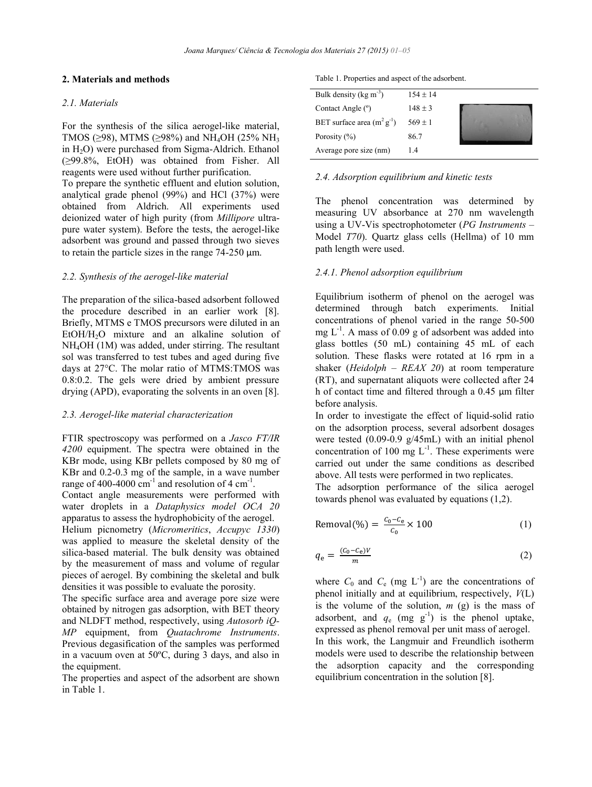## **2. Materials and methods**

#### *2.1. Materials*

For the synthesis of the silica aerogel-like material, TMOS ( $\geq$ 98), MTMS ( $\geq$ 98%) and NH<sub>4</sub>OH (25% NH<sub>3</sub>) in  $H_2O$ ) were purchased from Sigma-Aldrich. Ethanol (≥99.8%, EtOH) was obtained from Fisher. All reagents were used without further purification.

To prepare the synthetic effluent and elution solution, analytical grade phenol (99%) and HCl (37%) were obtained from Aldrich. All experiments used deionized water of high purity (from *Millipore* ultrapure water system). Before the tests, the aerogel-like adsorbent was ground and passed through two sieves to retain the particle sizes in the range 74-250 μm.

## *2.2. Synthesis of the aerogel-like material*

The preparation of the silica-based adsorbent followed the procedure described in an earlier work [8]. Briefly, MTMS e TMOS precursors were diluted in an EtOH/H<sub>2</sub>O mixture and an alkaline solution of NH4OH (1M) was added, under stirring. The resultant sol was transferred to test tubes and aged during five days at 27°C. The molar ratio of MTMS:TMOS was 0.8:0.2. The gels were dried by ambient pressure drying (APD), evaporating the solvents in an oven [8].

# *2.3. Aerogel-like material characterization*

FTIR spectroscopy was performed on a *Jasco FT/IR 4200* equipment. The spectra were obtained in the KBr mode, using KBr pellets composed by 80 mg of KBr and 0.2-0.3 mg of the sample, in a wave number range of 400-4000  $\text{cm}^{-1}$  and resolution of 4  $\text{cm}^{-1}$ .

Contact angle measurements were performed with water droplets in a *Dataphysics model OCA 20* apparatus to assess the hydrophobicity of the aerogel.

Helium picnometry (*Micromeritics*, *Accupyc 1330*) was applied to measure the skeletal density of the silica-based material. The bulk density was obtained by the measurement of mass and volume of regular pieces of aerogel. By combining the skeletal and bulk densities it was possible to evaluate the porosity.

The specific surface area and average pore size were obtained by nitrogen gas adsorption, with BET theory and NLDFT method, respectively, using *Autosorb iQ-MP* equipment, from *Quatachrome Instruments*. Previous degasification of the samples was performed in a vacuum oven at 50ºC, during 3 days, and also in the equipment.

The properties and aspect of the adsorbent are shown in Table 1.

Table 1. Properties and aspect of the adsorbent.

| Bulk density ( $kg \, \text{m}^{-3}$ ) | $154 + 14$  |  |
|----------------------------------------|-------------|--|
| Contact Angle (°)                      | $148 \pm 3$ |  |
| BET surface area $(m^2 g^{-1})$        | $569 \pm 1$ |  |
| Porosity $(\% )$                       | 86.7        |  |
| Average pore size (nm)                 | 14          |  |

#### *2.4. Adsorption equilibrium and kinetic tests*

The phenol concentration was determined by measuring UV absorbance at 270 nm wavelength using a UV-Vis spectrophotometer (*PG Instruments* – Model *T70*). Quartz glass cells (Hellma) of 10 mm path length were used.

### *2.4.1. Phenol adsorption equilibrium*

Equilibrium isotherm of phenol on the aerogel was determined through batch experiments. Initial concentrations of phenol varied in the range 50-500 mg  $L^{-1}$ . A mass of 0.09 g of adsorbent was added into glass bottles (50 mL) containing 45 mL of each solution. These flasks were rotated at 16 rpm in a shaker (*Heidolph* – *REAX 20*) at room temperature (RT), and supernatant aliquots were collected after 24 h of contact time and filtered through a 0.45 μm filter before analysis.

In order to investigate the effect of liquid-solid ratio on the adsorption process, several adsorbent dosages were tested (0.09-0.9 g/45mL) with an initial phenol concentration of 100 mg  $L^{-1}$ . These experiments were carried out under the same conditions as described above. All tests were performed in two replicates.

The adsorption performance of the silica aerogel towards phenol was evaluated by equations (1,2).

$$
Removal(\%) = \frac{c_0 - c_e}{c_0} \times 100
$$
 (1)

$$
q_{\rm e} = \frac{(c_0 - c_{\rm e})V}{m} \tag{2}
$$

where  $C_0$  and  $C_e$  (mg  $L^{-1}$ ) are the concentrations of phenol initially and at equilibrium, respectively, *V*(L) is the volume of the solution,  $m$  (g) is the mass of adsorbent, and  $q_e$  (mg  $g^{-1}$ ) is the phenol uptake, expressed as phenol removal per unit mass of aerogel. In this work, the Langmuir and Freundlich isotherm models were used to describe the relationship between the adsorption capacity and the corresponding

equilibrium concentration in the solution [8].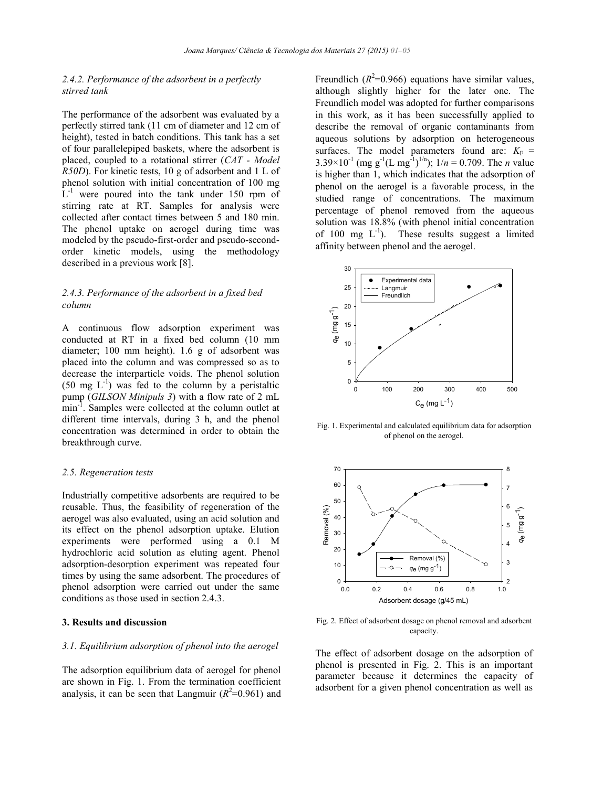# *2.4.2. Performance of the adsorbent in a perfectly stirred tank*

The performance of the adsorbent was evaluated by a perfectly stirred tank (11 cm of diameter and 12 cm of height), tested in batch conditions. This tank has a set of four parallelepiped baskets, where the adsorbent is placed, coupled to a rotational stirrer (*CAT - Model R50D*). For kinetic tests, 10 g of adsorbent and 1 L of phenol solution with initial concentration of 100 mg  $L^{-1}$  were poured into the tank under 150 rpm of stirring rate at RT. Samples for analysis were collected after contact times between 5 and 180 min. The phenol uptake on aerogel during time was modeled by the pseudo-first-order and pseudo-secondorder kinetic models, using the methodology described in a previous work [8].

# *2.4.3. Performance of the adsorbent in a fixed bed column*

A continuous flow adsorption experiment was conducted at RT in a fixed bed column (10 mm diameter; 100 mm height). 1.6 g of adsorbent was placed into the column and was compressed so as to decrease the interparticle voids. The phenol solution  $(50 \text{ mg } L^{-1})$  was fed to the column by a peristaltic pump (*GILSON Minipuls 3*) with a flow rate of 2 mL min<sup>-1</sup>. Samples were collected at the column outlet at different time intervals, during 3 h, and the phenol concentration was determined in order to obtain the breakthrough curve.

#### *2.5. Regeneration tests*

Industrially competitive adsorbents are required to be reusable. Thus, the feasibility of regeneration of the aerogel was also evaluated, using an acid solution and its effect on the phenol adsorption uptake. Elution experiments were performed using a 0.1 M hydrochloric acid solution as eluting agent. Phenol adsorption-desorption experiment was repeated four times by using the same adsorbent. The procedures of phenol adsorption were carried out under the same conditions as those used in section 2.4.3.

# **3. Results and discussion**

## *3.1. Equilibrium adsorption of phenol into the aerogel*

The adsorption equilibrium data of aerogel for phenol are shown in Fig. 1. From the termination coefficient analysis, it can be seen that Langmuir  $(R^2=0.961)$  and Freundlich  $(R^2=0.966)$  equations have similar values, although slightly higher for the later one. The Freundlich model was adopted for further comparisons in this work, as it has been successfully applied to describe the removal of organic contaminants from aqueous solutions by adsorption on heterogeneous surfaces. The model parameters found are:  $K_F$  =  $3.39 \times 10^{-1}$  (mg g<sup>-1</sup>(L mg<sup>-1</sup>)<sup>1/n</sup>);  $1/n = 0.709$ . The *n* value is higher than 1, which indicates that the adsorption of phenol on the aerogel is a favorable process, in the studied range of concentrations. The maximum percentage of phenol removed from the aqueous solution was 18.8% (with phenol initial concentration of 100 mg  $L^{-1}$ ). These results suggest a limited affinity between phenol and the aerogel.



Fig. 1. Experimental and calculated equilibrium data for adsorption of phenol on the aerogel.



Fig. 2. Effect of adsorbent dosage on phenol removal and adsorbent capacity.

The effect of adsorbent dosage on the adsorption of phenol is presented in Fig. 2. This is an important parameter because it determines the capacity of adsorbent for a given phenol concentration as well as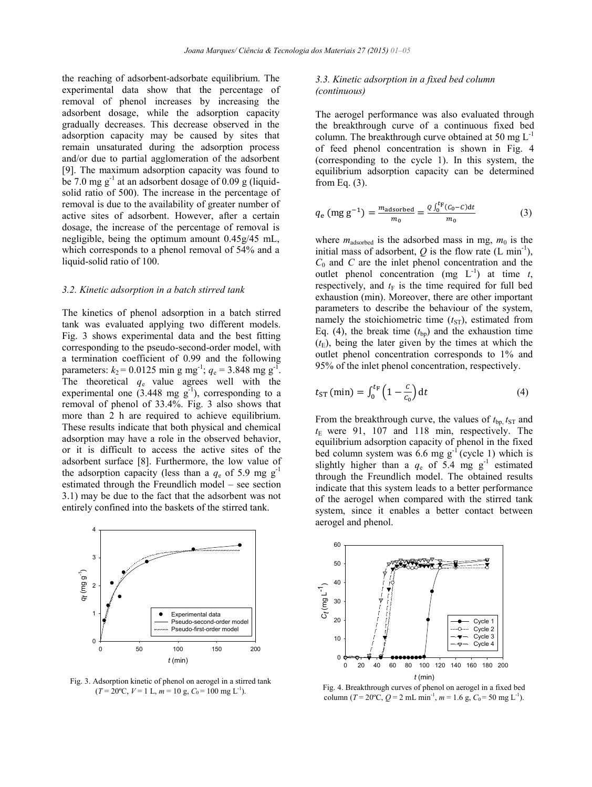the reaching of adsorbent-adsorbate equilibrium. The experimental data show that the percentage of removal of phenol increases by increasing the adsorbent dosage, while the adsorption capacity gradually decreases. This decrease observed in the adsorption capacity may be caused by sites that remain unsaturated during the adsorption process and/or due to partial agglomeration of the adsorbent [9]. The maximum adsorption capacity was found to be 7.0 mg  $g^{-1}$  at an adsorbent dosage of 0.09 g (liquidsolid ratio of 500). The increase in the percentage of removal is due to the availability of greater number of active sites of adsorbent. However, after a certain dosage, the increase of the percentage of removal is negligible, being the optimum amount 0.45g/45 mL, which corresponds to a phenol removal of 54% and a liquid-solid ratio of 100.

#### *3.2. Kinetic adsorption in a batch stirred tank*

The kinetics of phenol adsorption in a batch stirred tank was evaluated applying two different models. Fig. 3 shows experimental data and the best fitting corresponding to the pseudo-second-order model, with a termination coefficient of 0.99 and the following parameters:  $k_2 = 0.0125$  min g mg<sup>-1</sup>;  $q_e = 3.848$  mg g<sup>-1</sup>. The theoretical  $q_e$  value agrees well with the experimental one  $(3.448 \text{ mg g}^{-1})$ , corresponding to a removal of phenol of 33.4%. Fig. 3 also shows that more than 2 h are required to achieve equilibrium. These results indicate that both physical and chemical adsorption may have a role in the observed behavior, or it is difficult to access the active sites of the adsorbent surface [8]. Furthermore, the low value of the adsorption capacity (less than a  $q_e$  of 5.9 mg g<sup>-1</sup> estimated through the Freundlich model – see section 3.1) may be due to the fact that the adsorbent was not entirely confined into the baskets of the stirred tank.



Fig. 3. Adsorption kinetic of phenol on aerogel in a stirred tank  $(T = 20^{\circ}\text{C}, V = 1 \text{ L}, m = 10 \text{ g}, C_0 = 100 \text{ mg L}^{-1}).$ 

# *3.3. Kinetic adsorption in a fixed bed column (continuous)*

The aerogel performance was also evaluated through the breakthrough curve of a continuous fixed bed column. The breakthrough curve obtained at 50 mg  $L^{-1}$ of feed phenol concentration is shown in Fig. 4 (corresponding to the cycle 1). In this system, the equilibrium adsorption capacity can be determined from Eq. (3).

$$
q_{e} \text{ (mg g}^{-1}\text{)} = \frac{m_{adsorbed}}{m_{0}} = \frac{Q \int_{0}^{t_{F}} (C_{0} - C) dt}{m_{0}}
$$
 (3)

where  $m_{\text{adsorbed}}$  is the adsorbed mass in mg,  $m_0$  is the initial mass of adsorbent,  $Q$  is the flow rate  $(L \text{ min}^{-1})$ , *C*0 and *C* are the inlet phenol concentration and the outlet phenol concentration (mg  $L^{-1}$ ) at time *t*, respectively, and  $t_F$  is the time required for full bed exhaustion (min). Moreover, there are other important parameters to describe the behaviour of the system, namely the stoichiometric time  $(t_{ST})$ , estimated from Eq. (4), the break time  $(t_{bp})$  and the exhaustion time  $(t<sub>E</sub>)$ , being the later given by the times at which the outlet phenol concentration corresponds to 1% and 95% of the inlet phenol concentration, respectively.

$$
t_{\rm ST} \left( \min \right) = \int_0^{t_{\rm F}} \left( 1 - \frac{c}{c_0} \right) \mathrm{d}t \tag{4}
$$

From the breakthrough curve, the values of  $t_{bp}$ ,  $t_{ST}$  and  $t_E$  were 91, 107 and 118 min, respectively. The equilibrium adsorption capacity of phenol in the fixed bed column system was 6.6 mg  $g^{-1}$  (cycle 1) which is slightly higher than a  $q_e$  of 5.4 mg  $g^{-1}$  estimated through the Freundlich model. The obtained results indicate that this system leads to a better performance of the aerogel when compared with the stirred tank system, since it enables a better contact between aerogel and phenol.



Fig. 4. Breakthrough curves of phenol on aerogel in a fixed bed column (*T* = 20°C, *Q* = 2 mL min<sup>-1</sup>, *m* = 1.6 g, *C*<sub>0</sub> = 50 mg L<sup>-1</sup>).